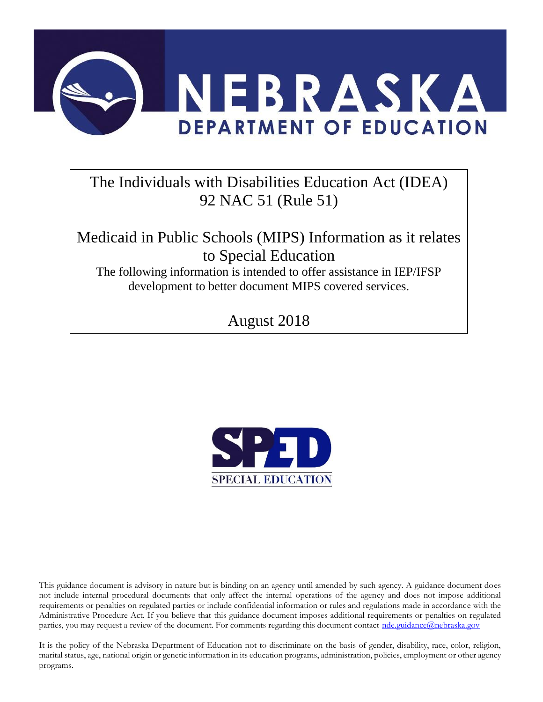

# The Individuals with Disabilities Education Act (IDEA) 92 NAC 51 (Rule 51)

Medicaid in Public Schools (MIPS) Information as it relates to Special Education

The following information is intended to offer assistance in IEP/IFSP development to better document MIPS covered services.

August 2018



This guidance document is advisory in nature but is binding on an agency until amended by such agency. A guidance document does not include internal procedural documents that only affect the internal operations of the agency and does not impose additional requirements or penalties on regulated parties or include confidential information or rules and regulations made in accordance with the Administrative Procedure Act. If you believe that this guidance document imposes additional requirements or penalties on regulated parties, you may request a review of the document. For comments regarding this document contact [nde.guidance@nebraska.gov](mailto:nde.guidance@nebraska.gov)

It is the policy of the Nebraska Department of Education not to discriminate on the basis of gender, disability, race, color, religion, marital status, age, national origin or genetic information in its education programs, administration, policies, employment or other agency programs.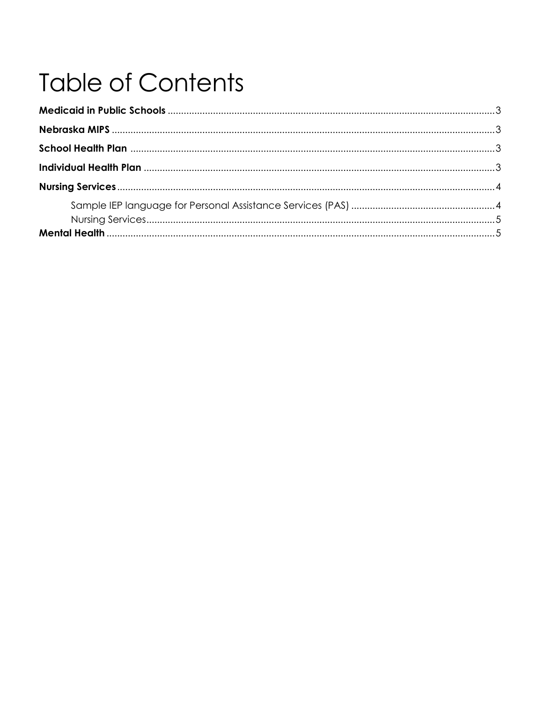# **Table of Contents**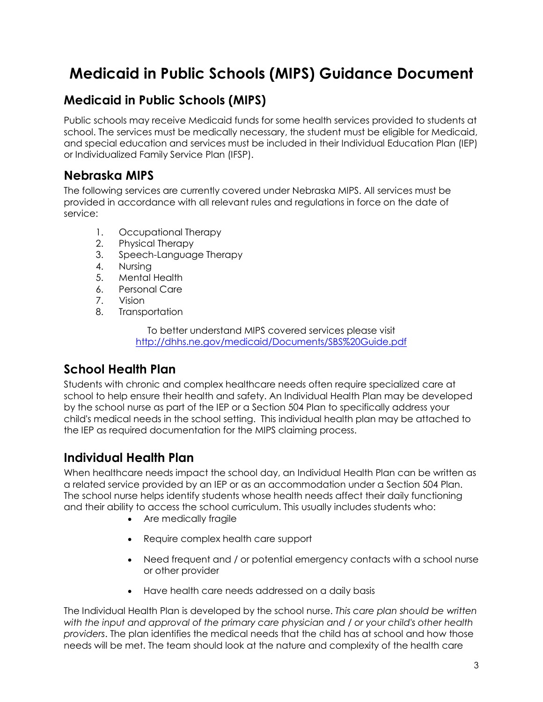# **Medicaid in Public Schools (MIPS) Guidance Document**

## **Medicaid in Public Schools (MIPS)**

Public schools may receive Medicaid funds for some health services provided to students at school. The services must be medically necessary, the student must be eligible for Medicaid, and special education and services must be included in their Individual Education Plan (IEP) or Individualized Family Service Plan (IFSP).

#### **Nebraska MIPS**

The following services are currently covered under Nebraska MIPS. All services must be provided in accordance with all relevant rules and regulations in force on the date of service:

- 1. Occupational Therapy
- 2. Physical Therapy
- 3. Speech-Language Therapy
- 4. Nursing
- 5. Mental Health
- 6. Personal Care
- 7. Vision
- 8. Transportation

To better understand MIPS covered services please visit <http://dhhs.ne.gov/medicaid/Documents/SBS%20Guide.pdf>

## **School Health Plan**

Students with chronic and complex healthcare needs often require specialized care at school to help ensure their health and safety. An Individual Health Plan may be developed by the school nurse as part of the [IEP](https://www.cincinnatichildrens.org/patients/child/special-needs/education/school/iep/) or a [Section 504](https://www.cincinnatichildrens.org/patients/child/special-needs/education/school/504/) Plan to specifically address your child's medical needs in the school setting. This individual health plan may be attached to the IEP as required documentation for the MIPS claiming process.

### **Individual Health Plan**

When healthcare needs impact the school day, an Individual Health Plan can be written as a related service provided by an [IEP](https://www.cincinnatichildrens.org/patients/child/special-needs/education/school/iep/) or as an accommodation under a [Section 504 Plan.](https://www.cincinnatichildrens.org/patients/child/special-needs/education/school/504/) The school nurse helps identify students whose health needs affect their daily functioning and their ability to access the school curriculum. This usually includes students who:

- Are medically fragile
- Require complex health care support
- Need frequent and / or potential emergency contacts with a school nurse or other provider
- Have health care needs addressed on a daily basis

The Individual Health Plan is developed by the school nurse. *This care plan should be written with the input and approval of the primary care physician and / or your child's other health providers*. The plan identifies the medical needs that the child has at school and how those needs will be met. The team should look at the nature and complexity of the health care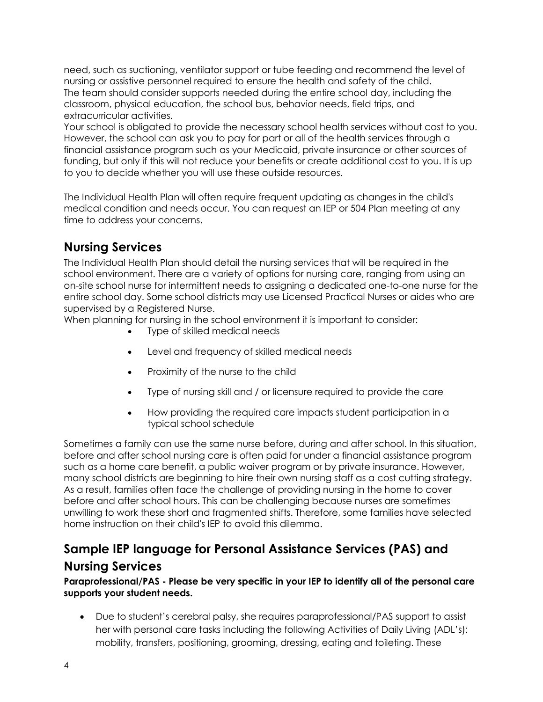need, such as suctioning, ventilator support or tube feeding and recommend the level of nursing or assistive personnel required to ensure the health and safety of the child. The team should consider supports needed during the entire school day, including the classroom, physical education, the school bus, [behavior needs,](https://www.cincinnatichildrens.org/patients/child/special-needs/education/school/behavior/) field trips, and extracurricular activities.

Your school is obligated to provide the necessary school health services without cost to you. However, the school can ask you to pay for part or all of the health services through a financial assistance program such as your Medicaid, private insurance or other sources of funding, but only if this will not reduce your benefits or create additional cost to you. It is up to you to decide whether you will use these outside resources.

The Individual Health Plan will often require frequent updating as changes in the child's medical condition and needs occur. You can request an IEP or 504 Plan meeting at any time to address your concerns.

#### **Nursing Services**

The Individual Health Plan should detail the nursing services that will be required in the school environment. There are a variety of options for nursing care, ranging from using an on-site school nurse for intermittent needs to assigning a dedicated one-to-one nurse for the entire school day. Some school districts may use Licensed Practical Nurses or aides who are supervised by a Registered Nurse.

When planning for nursing in the school environment it is important to consider:

- Type of skilled medical needs
- Level and frequency of skilled medical needs
- Proximity of the nurse to the child
- Type of nursing skill and / or licensure required to provide the care
- How providing the required care impacts student participation in a typical school schedule

Sometimes a family can use the same nurse before, during and after school. In this situation, before and after school nursing care is often paid for under a financial assistance program such as a home care benefit, a public waiver program or by private insurance. However, many school districts are beginning to hire their own nursing staff as a cost cutting strategy. As a result, families often face the challenge of providing nursing in the home to cover before and after school hours. This can be challenging because nurses are sometimes unwilling to work these short and fragmented shifts. Therefore, some families have selected home instruction on their child's [IEP](https://www.cincinnatichildrens.org/patients/child/special-needs/education/school/iep/) to avoid this dilemma.

#### **Sample IEP language for Personal Assistance Services (PAS) and**

#### **Nursing Services**

#### **Paraprofessional/PAS - Please be very specific in your IEP to identify all of the personal care supports your student needs.**

 Due to student's cerebral palsy, she requires paraprofessional/PAS support to assist her with personal care tasks including the following Activities of Daily Living (ADL's): mobility, transfers, positioning, grooming, dressing, eating and toileting. These